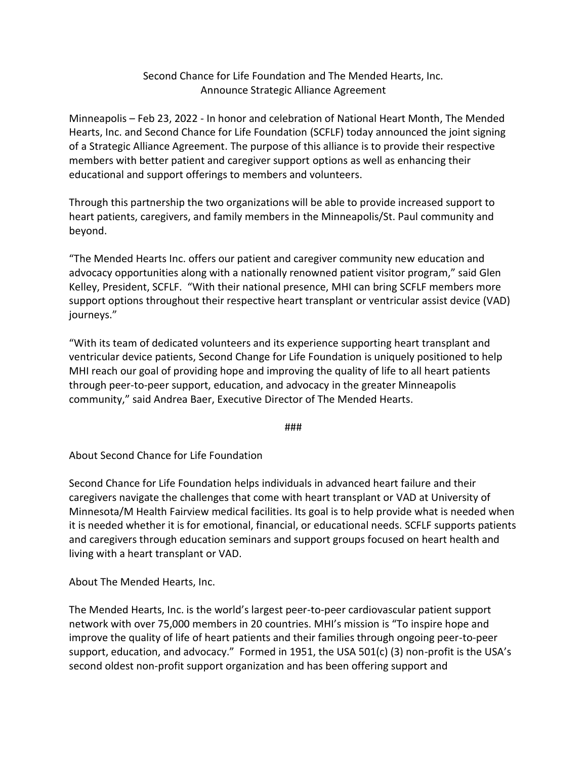## Second Chance for Life Foundation and The Mended Hearts, Inc. Announce Strategic Alliance Agreement

Minneapolis – Feb 23, 2022 - In honor and celebration of National Heart Month, The Mended Hearts, Inc. and Second Chance for Life Foundation (SCFLF) today announced the joint signing of a Strategic Alliance Agreement. The purpose of this alliance is to provide their respective members with better patient and caregiver support options as well as enhancing their educational and support offerings to members and volunteers.

Through this partnership the two organizations will be able to provide increased support to heart patients, caregivers, and family members in the Minneapolis/St. Paul community and beyond.

"The Mended Hearts Inc. offers our patient and caregiver community new education and advocacy opportunities along with a nationally renowned patient visitor program," said Glen Kelley, President, SCFLF. "With their national presence, MHI can bring SCFLF members more support options throughout their respective heart transplant or ventricular assist device (VAD) journeys."

"With its team of dedicated volunteers and its experience supporting heart transplant and ventricular device patients, Second Change for Life Foundation is uniquely positioned to help MHI reach our goal of providing hope and improving the quality of life to all heart patients through peer-to-peer support, education, and advocacy in the greater Minneapolis community," said Andrea Baer, Executive Director of The Mended Hearts.

###

About Second Chance for Life Foundation

Second Chance for Life Foundation helps individuals in advanced heart failure and their caregivers navigate the challenges that come with heart transplant or VAD at University of Minnesota/M Health Fairview medical facilities. Its goal is to help provide what is needed when it is needed whether it is for emotional, financial, or educational needs. SCFLF supports patients and caregivers through education seminars and support groups focused on heart health and living with a heart transplant or VAD.

About The Mended Hearts, Inc.

The Mended Hearts, Inc. is the world's largest peer-to-peer cardiovascular patient support network with over 75,000 members in 20 countries. MHI's mission is "To inspire hope and improve the quality of life of heart patients and their families through ongoing peer-to-peer support, education, and advocacy." Formed in 1951, the USA 501(c) (3) non-profit is the USA's second oldest non-profit support organization and has been offering support and